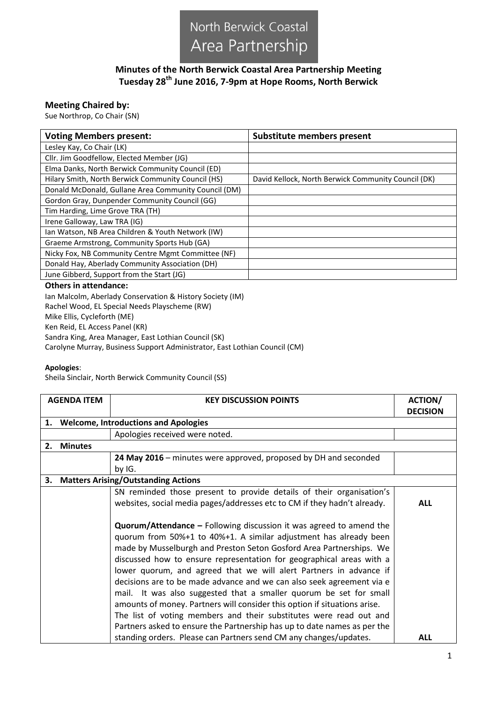

## **Minutes of the North Berwick Coastal Area Partnership Meeting Tuesday 28th June 2016, 7-9pm at Hope Rooms, North Berwick**

## **Meeting Chaired by:**

Sue Northrop, Co Chair (SN)

| <b>Voting Members present:</b>                       | <b>Substitute members present</b>                   |  |  |  |
|------------------------------------------------------|-----------------------------------------------------|--|--|--|
| Lesley Kay, Co Chair (LK)                            |                                                     |  |  |  |
| Cllr. Jim Goodfellow, Elected Member (JG)            |                                                     |  |  |  |
| Elma Danks, North Berwick Community Council (ED)     |                                                     |  |  |  |
| Hilary Smith, North Berwick Community Council (HS)   | David Kellock, North Berwick Community Council (DK) |  |  |  |
| Donald McDonald, Gullane Area Community Council (DM) |                                                     |  |  |  |
| Gordon Gray, Dunpender Community Council (GG)        |                                                     |  |  |  |
| Tim Harding, Lime Grove TRA (TH)                     |                                                     |  |  |  |
| Irene Galloway, Law TRA (IG)                         |                                                     |  |  |  |
| Ian Watson, NB Area Children & Youth Network (IW)    |                                                     |  |  |  |
| Graeme Armstrong, Community Sports Hub (GA)          |                                                     |  |  |  |
| Nicky Fox, NB Community Centre Mgmt Committee (NF)   |                                                     |  |  |  |
| Donald Hay, Aberlady Community Association (DH)      |                                                     |  |  |  |
| June Gibberd, Support from the Start (JG)            |                                                     |  |  |  |
| Othors in attondance:                                |                                                     |  |  |  |

## **Others in attendance:**

Ian Malcolm, Aberlady Conservation & History Society (IM) Rachel Wood, EL Special Needs Playscheme (RW) Mike Ellis, Cycleforth (ME) Ken Reid, EL Access Panel (KR) Sandra King, Area Manager, East Lothian Council (SK) Carolyne Murray, Business Support Administrator, East Lothian Council (CM)

## **Apologies**:

Sheila Sinclair, North Berwick Community Council (SS)

| <b>AGENDA ITEM</b>                                |                                        | <b>KEY DISCUSSION POINTS</b>                                                                                                                                                                                                                                                                                                                                                                                                                       | <b>ACTION/</b>  |  |
|---------------------------------------------------|----------------------------------------|----------------------------------------------------------------------------------------------------------------------------------------------------------------------------------------------------------------------------------------------------------------------------------------------------------------------------------------------------------------------------------------------------------------------------------------------------|-----------------|--|
|                                                   |                                        |                                                                                                                                                                                                                                                                                                                                                                                                                                                    | <b>DECISION</b> |  |
| <b>Welcome, Introductions and Apologies</b><br>1. |                                        |                                                                                                                                                                                                                                                                                                                                                                                                                                                    |                 |  |
|                                                   |                                        | Apologies received were noted.                                                                                                                                                                                                                                                                                                                                                                                                                     |                 |  |
| 2.                                                | <b>Minutes</b>                         |                                                                                                                                                                                                                                                                                                                                                                                                                                                    |                 |  |
|                                                   |                                        | 24 May 2016 - minutes were approved, proposed by DH and seconded<br>by IG.                                                                                                                                                                                                                                                                                                                                                                         |                 |  |
|                                                   | 3. Matters Arising/Outstanding Actions |                                                                                                                                                                                                                                                                                                                                                                                                                                                    |                 |  |
|                                                   |                                        | SN reminded those present to provide details of their organisation's<br>websites, social media pages/addresses etc to CM if they hadn't already.<br><b>Quorum/Attendance - Following discussion it was agreed to amend the</b><br>quorum from 50%+1 to 40%+1. A similar adjustment has already been<br>made by Musselburgh and Preston Seton Gosford Area Partnerships. We<br>discussed how to ensure representation for geographical areas with a | <b>ALL</b>      |  |
|                                                   |                                        | lower quorum, and agreed that we will alert Partners in advance if<br>decisions are to be made advance and we can also seek agreement via e<br>mail. It was also suggested that a smaller quorum be set for small<br>amounts of money. Partners will consider this option if situations arise.<br>The list of voting members and their substitutes were read out and<br>Partners asked to ensure the Partnership has up to date names as per the   |                 |  |
|                                                   |                                        | standing orders. Please can Partners send CM any changes/updates.                                                                                                                                                                                                                                                                                                                                                                                  | <b>ALL</b>      |  |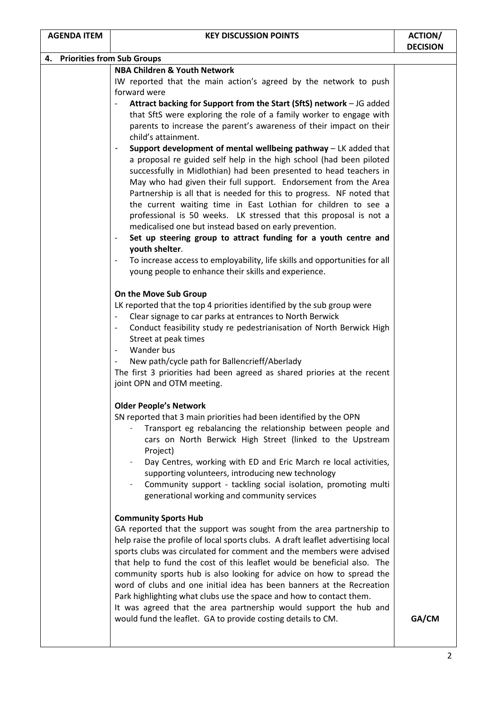| 4. Priorities from Sub Groups |                                                                                                                                                         |       |  |  |
|-------------------------------|---------------------------------------------------------------------------------------------------------------------------------------------------------|-------|--|--|
|                               | <b>NBA Children &amp; Youth Network</b>                                                                                                                 |       |  |  |
|                               | IW reported that the main action's agreed by the network to push                                                                                        |       |  |  |
|                               | forward were                                                                                                                                            |       |  |  |
|                               | Attract backing for Support from the Start (SftS) network - JG added<br>$\overline{\phantom{a}}$                                                        |       |  |  |
|                               | that SftS were exploring the role of a family worker to engage with                                                                                     |       |  |  |
|                               | parents to increase the parent's awareness of their impact on their                                                                                     |       |  |  |
|                               | child's attainment.                                                                                                                                     |       |  |  |
|                               | Support development of mental wellbeing pathway - LK added that<br>$\blacksquare$                                                                       |       |  |  |
|                               | a proposal re guided self help in the high school (had been piloted                                                                                     |       |  |  |
|                               | successfully in Midlothian) had been presented to head teachers in                                                                                      |       |  |  |
|                               | May who had given their full support. Endorsement from the Area                                                                                         |       |  |  |
|                               | Partnership is all that is needed for this to progress. NF noted that                                                                                   |       |  |  |
|                               | the current waiting time in East Lothian for children to see a                                                                                          |       |  |  |
|                               | professional is 50 weeks. LK stressed that this proposal is not a                                                                                       |       |  |  |
|                               | medicalised one but instead based on early prevention.                                                                                                  |       |  |  |
|                               | Set up steering group to attract funding for a youth centre and<br>$\overline{\phantom{a}}$                                                             |       |  |  |
|                               | youth shelter.                                                                                                                                          |       |  |  |
|                               | To increase access to employability, life skills and opportunities for all                                                                              |       |  |  |
|                               | young people to enhance their skills and experience.                                                                                                    |       |  |  |
|                               |                                                                                                                                                         |       |  |  |
|                               | On the Move Sub Group                                                                                                                                   |       |  |  |
|                               | LK reported that the top 4 priorities identified by the sub group were                                                                                  |       |  |  |
|                               | Clear signage to car parks at entrances to North Berwick                                                                                                |       |  |  |
|                               | Conduct feasibility study re pedestrianisation of North Berwick High<br>$\overline{\phantom{a}}$                                                        |       |  |  |
|                               | Street at peak times                                                                                                                                    |       |  |  |
|                               | Wander bus<br>$\overline{\phantom{a}}$                                                                                                                  |       |  |  |
|                               | New path/cycle path for Ballencrieff/Aberlady                                                                                                           |       |  |  |
|                               | The first 3 priorities had been agreed as shared priories at the recent                                                                                 |       |  |  |
|                               | joint OPN and OTM meeting.                                                                                                                              |       |  |  |
|                               | <b>Older People's Network</b>                                                                                                                           |       |  |  |
|                               | SN reported that 3 main priorities had been identified by the OPN                                                                                       |       |  |  |
|                               | Transport eg rebalancing the relationship between people and                                                                                            |       |  |  |
|                               | cars on North Berwick High Street (linked to the Upstream                                                                                               |       |  |  |
|                               | Project)                                                                                                                                                |       |  |  |
|                               | Day Centres, working with ED and Eric March re local activities,                                                                                        |       |  |  |
|                               | supporting volunteers, introducing new technology                                                                                                       |       |  |  |
|                               | Community support - tackling social isolation, promoting multi                                                                                          |       |  |  |
|                               | generational working and community services                                                                                                             |       |  |  |
|                               |                                                                                                                                                         |       |  |  |
|                               | <b>Community Sports Hub</b>                                                                                                                             |       |  |  |
|                               | GA reported that the support was sought from the area partnership to                                                                                    |       |  |  |
|                               | help raise the profile of local sports clubs. A draft leaflet advertising local<br>sports clubs was circulated for comment and the members were advised |       |  |  |
|                               | that help to fund the cost of this leaflet would be beneficial also. The                                                                                |       |  |  |
|                               | community sports hub is also looking for advice on how to spread the                                                                                    |       |  |  |
|                               | word of clubs and one initial idea has been banners at the Recreation                                                                                   |       |  |  |
|                               | Park highlighting what clubs use the space and how to contact them.                                                                                     |       |  |  |
|                               | It was agreed that the area partnership would support the hub and                                                                                       |       |  |  |
|                               | would fund the leaflet. GA to provide costing details to CM.                                                                                            | GA/CM |  |  |
|                               |                                                                                                                                                         |       |  |  |